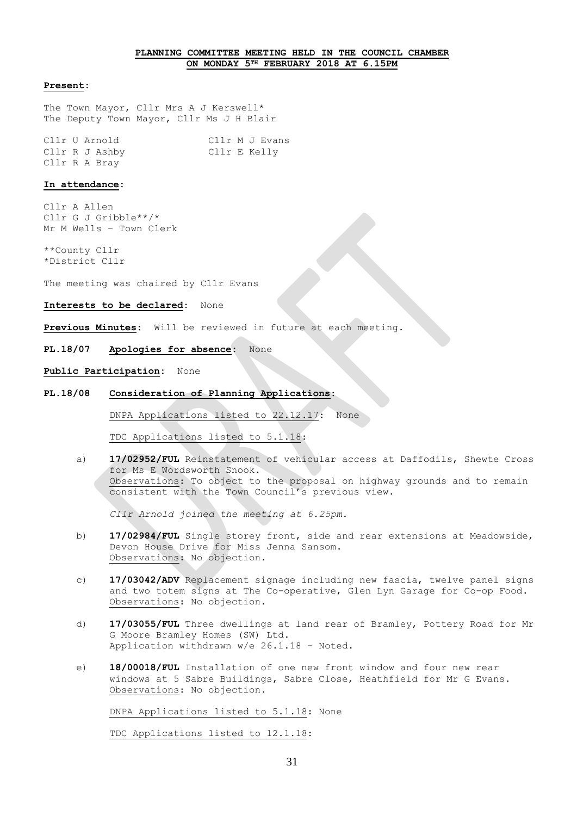# **PLANNING COMMITTEE MEETING HELD IN THE COUNCIL CHAMBER ON MONDAY 5TH FEBRUARY 2018 AT 6.15PM**

#### **Present:**

The Town Mayor, Cllr Mrs A J Kerswell\* The Deputy Town Mayor, Cllr Ms J H Blair

Cllr U Arnold Cllr M J Evans Cllr R J Ashby Cllr E Kelly Cllr R A Bray

#### **In attendance:**

Cllr A Allen Cllr G J Gribble\*\*/\* Mr M Wells – Town Clerk

\*\*County Cllr \*District Cllr

The meeting was chaired by Cllr Evans

#### **Interests to be declared**: None

**Previous Minutes:** Will be reviewed in future at each meeting.

## **PL.18/07 Apologies for absence:** None

#### **Public Participation:** None

## **PL.18/08 Consideration of Planning Applications**:

DNPA Applications listed to 22.12.17: None

TDC Applications listed to 5.1.18:

a) **17/02952/FUL** Reinstatement of vehicular access at Daffodils, Shewte Cross for Ms E Wordsworth Snook. Observations: To object to the proposal on highway grounds and to remain consistent with the Town Council's previous view.

*Cllr Arnold joined the meeting at 6.25pm.*

- b) **17/02984/FUL** Single storey front, side and rear extensions at Meadowside, Devon House Drive for Miss Jenna Sansom. Observations: No objection.
- c) **17/03042/ADV** Replacement signage including new fascia, twelve panel signs and two totem signs at The Co-operative, Glen Lyn Garage for Co-op Food. Observations: No objection.
- d) **17/03055/FUL** Three dwellings at land rear of Bramley, Pottery Road for Mr G Moore Bramley Homes (SW) Ltd. Application withdrawn w/e 26.1.18 – Noted.
- e) **18/00018/FUL** Installation of one new front window and four new rear windows at 5 Sabre Buildings, Sabre Close, Heathfield for Mr G Evans. Observations: No objection.

DNPA Applications listed to 5.1.18: None

TDC Applications listed to 12.1.18: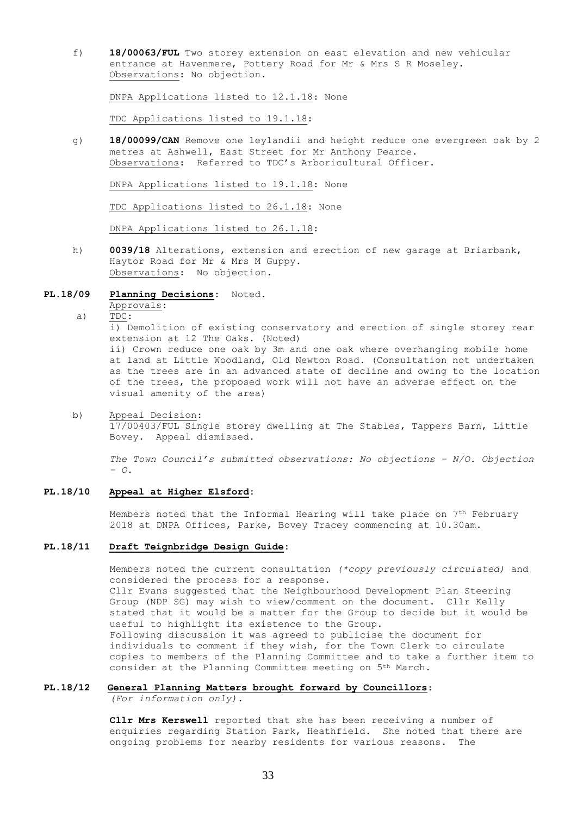f) **18/00063/FUL** Two storey extension on east elevation and new vehicular entrance at Havenmere, Pottery Road for Mr & Mrs S R Moseley. Observations: No objection.

DNPA Applications listed to 12.1.18: None

TDC Applications listed to 19.1.18:

g) **18/00099/CAN** Remove one leylandii and height reduce one evergreen oak by 2 metres at Ashwell, East Street for Mr Anthony Pearce. Observations: Referred to TDC's Arboricultural Officer.

DNPA Applications listed to 19.1.18: None

TDC Applications listed to 26.1.18: None

DNPA Applications listed to 26.1.18:

h) **0039/18** Alterations, extension and erection of new garage at Briarbank, Haytor Road for Mr & Mrs M Guppy. Observations: No objection.

#### **PL.18/09 Planning Decisions**: Noted.

# Approvals:

a)  $TDC:$ 

 $\overline{11}$ ) Demolition of existing conservatory and erection of single storey rear extension at 12 The Oaks. (Noted) ii) Crown reduce one oak by 3m and one oak where overhanging mobile home at land at Little Woodland, Old Newton Road. (Consultation not undertaken as the trees are in an advanced state of decline and owing to the location of the trees, the proposed work will not have an adverse effect on the visual amenity of the area)

b) Appeal Decision: 17/00403/FUL Single storey dwelling at The Stables, Tappers Barn, Little Bovey. Appeal dismissed.

 *The Town Council's submitted observations: No objections – N/O. Objection – O.*

## **PL.18/10 Appeal at Higher Elsford:**

Members noted that the Informal Hearing will take place on 7<sup>th</sup> February 2018 at DNPA Offices, Parke, Bovey Tracey commencing at 10.30am.

# **PL.18/11 Draft Teignbridge Design Guide:**

Members noted the current consultation *(\*copy previously circulated)* and considered the process for a response. Cllr Evans suggested that the Neighbourhood Development Plan Steering Group (NDP SG) may wish to view/comment on the document. Cllr Kelly stated that it would be a matter for the Group to decide but it would be useful to highlight its existence to the Group. Following discussion it was agreed to publicise the document for individuals to comment if they wish, for the Town Clerk to circulate copies to members of the Planning Committee and to take a further item to consider at the Planning Committee meeting on 5th March.

# **PL.18/12 General Planning Matters brought forward by Councillors**:

*(For information only).*

**Cllr Mrs Kerswell** reported that she has been receiving a number of enquiries regarding Station Park, Heathfield. She noted that there are ongoing problems for nearby residents for various reasons. The